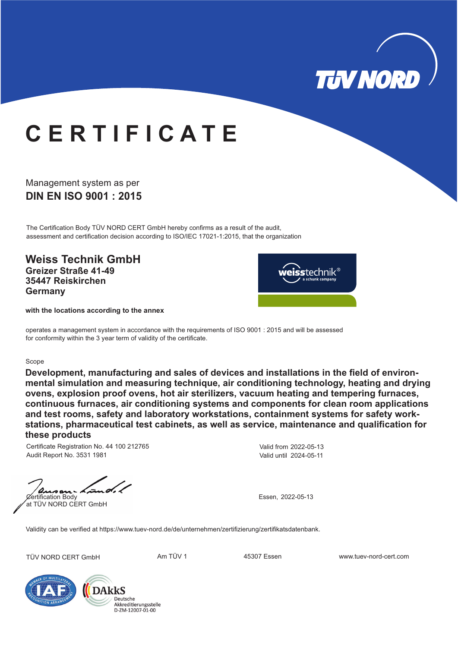

## **C E R T I F I C A T E**

### **DIN EN ISO 9001 : 2015** Management system as per

The Certification Body TÜV NORD CERT GmbH hereby confirms as a result of the audit, assessment and certification decision according to ISO/IEC 17021-1:2015, that the organization

**Weiss Technik GmbH Greizer Straße 41-49 35447 Reiskirchen Germany**



**with the locations according to the annex**

operates a management system in accordance with the requirements of ISO 9001 : 2015 and will be assessed for conformity within the 3 year term of validity of the certificate.

#### Scope

**Development, manufacturing and sales of devices and installations in the field of environmental simulation and measuring technique, air conditioning technology, heating and drying ovens, explosion proof ovens, hot air sterilizers, vacuum heating and tempering furnaces, continuous furnaces, air conditioning systems and components for clean room applications and test rooms, safety and laboratory workstations, containment systems for safety workstations, pharmaceutical test cabinets, as well as service, maintenance and qualification for these products**

Certificate Registration No. 44 100 212765 Audit Report No. 3531 1981

 $norm - A$ Certification Body at TÜV NORD CERT GmbH

Valid from 2022-05-13 Valid until 2024-05-11

Essen, 2022-05-13

Validity can be verified at https://www.tuev-nord.de/de/unternehmen/zertifizierung/zertifikatsdatenbank.

TÜV NORD CERT GmbH **Am TÜV 1** 45307 Essen www.tuev-nord-cert.com



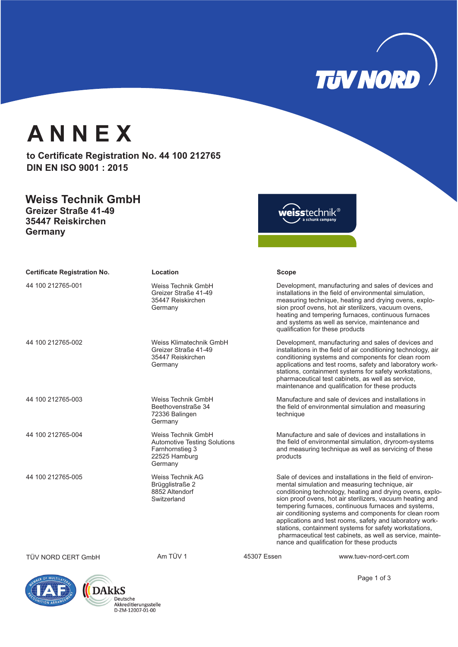

Page 1 of 3

## **A N N E X**

to Certificate Registration No. 44 100 212765 **DIN EN ISO 9001 : 2015**

### **Weiss Technik GmbH Greizer Straße 41-49**

**35447 Reiskirchen Germany**

weisstechnik®

| <b>Certificate Registration No.</b> | Location                                                                                                 |             | <b>Scope</b>                                                                                                                                                                                                                                                                                                                                                                                                                                                                                                                                                                              |  |
|-------------------------------------|----------------------------------------------------------------------------------------------------------|-------------|-------------------------------------------------------------------------------------------------------------------------------------------------------------------------------------------------------------------------------------------------------------------------------------------------------------------------------------------------------------------------------------------------------------------------------------------------------------------------------------------------------------------------------------------------------------------------------------------|--|
| 44 100 212765-001                   | Weiss Technik GmbH<br>Greizer Straße 41-49<br>35447 Reiskirchen<br>Germany                               |             | Development, manufacturing and sales of devices and<br>installations in the field of environmental simulation,<br>measuring technique, heating and drying ovens, explo-<br>sion proof ovens, hot air sterilizers, vacuum ovens,<br>heating and tempering furnaces, continuous furnaces<br>and systems as well as service, maintenance and<br>qualification for these products                                                                                                                                                                                                             |  |
| 44 100 212765-002                   | Weiss Klimatechnik GmbH<br>Greizer Straße 41-49<br>35447 Reiskirchen<br>Germany                          |             | Development, manufacturing and sales of devices and<br>installations in the field of air conditioning technology, air<br>conditioning systems and components for clean room<br>applications and test rooms, safety and laboratory work-<br>stations, containment systems for safety workstations,<br>pharmaceutical test cabinets, as well as service,<br>maintenance and qualification for these products                                                                                                                                                                                |  |
| 44 100 212765-003                   | Weiss Technik GmbH<br>Beethovenstraße 34<br>72336 Balingen<br>Germany                                    |             | Manufacture and sale of devices and installations in<br>the field of environmental simulation and measuring<br>technique                                                                                                                                                                                                                                                                                                                                                                                                                                                                  |  |
| 44 100 212765-004                   | Weiss Technik GmbH<br><b>Automotive Testing Solutions</b><br>Farnhornstieg 3<br>22525 Hamburg<br>Germany |             | Manufacture and sale of devices and installations in<br>the field of environmental simulation, dryroom-systems<br>and measuring technique as well as servicing of these<br>products                                                                                                                                                                                                                                                                                                                                                                                                       |  |
| 44 100 212765-005                   | <b>Weiss Technik AG</b><br>Brügglistraße 2<br>8852 Altendorf<br>Switzerland                              |             | Sale of devices and installations in the field of environ-<br>mental simulation and measuring technique, air<br>conditioning technology, heating and drying ovens, explo-<br>sion proof ovens, hot air sterilizers, vacuum heating and<br>tempering furnaces, continuous furnaces and systems,<br>air conditioning systems and components for clean room<br>applications and test rooms, safety and laboratory work-<br>stations, containment systems for safety workstations,<br>pharmaceutical test cabinets, as well as service, mainte-<br>nance and qualification for these products |  |
| TÜV NORD CERT GmbH                  | Am TÜV 1                                                                                                 | 45307 Essen | www.tuev-nord-cert.com                                                                                                                                                                                                                                                                                                                                                                                                                                                                                                                                                                    |  |



Deutsche<br>Akkreditierungsstelle D-ZM-12007-01-00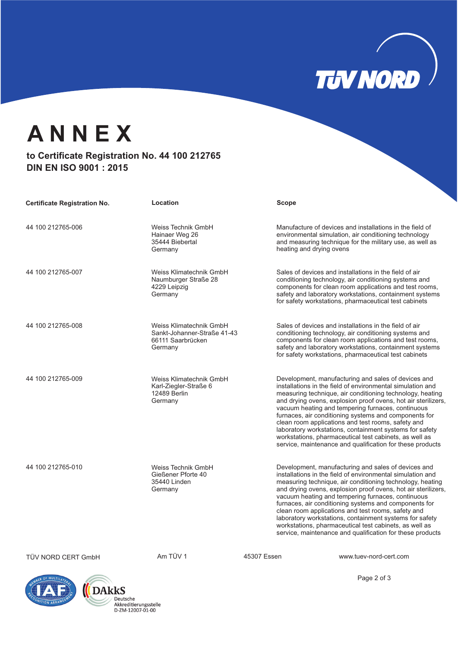# **TUV NORD**

## **A N N E X**

### to Certificate Registration No. 44 100 212765 **DIN EN ISO 9001 : 2015**

| <b>Certificate Registration No.</b> | Location                                                                               |             | Scope                                                                                                                                                                                                                                                                                                                                                                                                                                                                                                                                                                                                 |
|-------------------------------------|----------------------------------------------------------------------------------------|-------------|-------------------------------------------------------------------------------------------------------------------------------------------------------------------------------------------------------------------------------------------------------------------------------------------------------------------------------------------------------------------------------------------------------------------------------------------------------------------------------------------------------------------------------------------------------------------------------------------------------|
| 44 100 212765-006                   | Weiss Technik GmbH<br>Hainaer Weg 26<br>35444 Biebertal<br>Germany                     |             | Manufacture of devices and installations in the field of<br>environmental simulation, air conditioning technology<br>and measuring technique for the military use, as well as<br>heating and drying ovens                                                                                                                                                                                                                                                                                                                                                                                             |
| 44 100 212765-007                   | Weiss Klimatechnik GmbH<br>Naumburger Straße 28<br>4229 Leipzig<br>Germany             |             | Sales of devices and installations in the field of air<br>conditioning technology, air conditioning systems and<br>components for clean room applications and test rooms,<br>safety and laboratory workstations, containment systems<br>for safety workstations, pharmaceutical test cabinets                                                                                                                                                                                                                                                                                                         |
| 44 100 212765-008                   | Weiss Klimatechnik GmbH<br>Sankt-Johanner-Straße 41-43<br>66111 Saarbrücken<br>Germany |             | Sales of devices and installations in the field of air<br>conditioning technology, air conditioning systems and<br>components for clean room applications and test rooms,<br>safety and laboratory workstations, containment systems<br>for safety workstations, pharmaceutical test cabinets                                                                                                                                                                                                                                                                                                         |
| 44 100 212765-009                   | Weiss Klimatechnik GmbH<br>Karl-Ziegler-Straße 6<br>12489 Berlin<br>Germany            |             | Development, manufacturing and sales of devices and<br>installations in the field of environmental simulation and<br>measuring technique, air conditioning technology, heating<br>and drying ovens, explosion proof ovens, hot air sterilizers,<br>vacuum heating and tempering furnaces, continuous<br>furnaces, air conditioning systems and components for<br>clean room applications and test rooms, safety and<br>laboratory workstations, containment systems for safety<br>workstations, pharmaceutical test cabinets, as well as<br>service, maintenance and qualification for these products |
| 44 100 212765-010                   | Weiss Technik GmbH<br>Gießener Pforte 40<br>35440 Linden<br>Germany                    |             | Development, manufacturing and sales of devices and<br>installations in the field of environmental simulation and<br>measuring technique, air conditioning technology, heating<br>and drying ovens, explosion proof ovens, hot air sterilizers,<br>vacuum heating and tempering furnaces, continuous<br>furnaces, air conditioning systems and components for<br>clean room applications and test rooms, safety and<br>laboratory workstations, containment systems for safety<br>workstations, pharmaceutical test cabinets, as well as<br>service, maintenance and qualification for these products |
| TÜV NORD CERT GmbH                  | Am TÜV 1                                                                               | 45307 Essen | www.tuev-nord-cert.com                                                                                                                                                                                                                                                                                                                                                                                                                                                                                                                                                                                |

Page 2 of 3